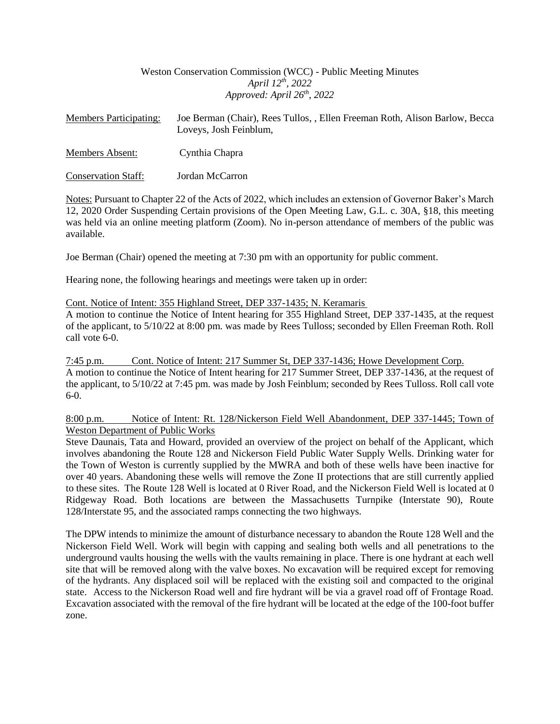# Weston Conservation Commission (WCC) - Public Meeting Minutes *April 12th, 2022 Approved: April 26th, 2022*

| <b>Members Participating:</b> | Joe Berman (Chair), Rees Tullos, , Ellen Freeman Roth, Alison Barlow, Becca<br>Loveys, Josh Feinblum, |
|-------------------------------|-------------------------------------------------------------------------------------------------------|
| Members Absent:               | Cynthia Chapra                                                                                        |
| <b>Conservation Staff:</b>    | Jordan McCarron                                                                                       |

Notes: Pursuant to Chapter 22 of the Acts of 2022, which includes an extension of Governor Baker's March 12, 2020 Order Suspending Certain provisions of the Open Meeting Law, G.L. c. 30A, §18, this meeting was held via an online meeting platform (Zoom). No in-person attendance of members of the public was available.

Joe Berman (Chair) opened the meeting at 7:30 pm with an opportunity for public comment.

Hearing none, the following hearings and meetings were taken up in order:

Cont. Notice of Intent: 355 Highland Street, DEP 337-1435; N. Keramaris

A motion to continue the Notice of Intent hearing for 355 Highland Street, DEP 337-1435, at the request of the applicant, to 5/10/22 at 8:00 pm. was made by Rees Tulloss; seconded by Ellen Freeman Roth. Roll call vote 6-0.

7:45 p.m. Cont. Notice of Intent: 217 Summer St, DEP 337-1436; Howe Development Corp. A motion to continue the Notice of Intent hearing for 217 Summer Street, DEP 337-1436, at the request of the applicant, to 5/10/22 at 7:45 pm. was made by Josh Feinblum; seconded by Rees Tulloss. Roll call vote  $6-0.$ 

## 8:00 p.m. Notice of Intent: Rt. 128/Nickerson Field Well Abandonment, DEP 337-1445; Town of Weston Department of Public Works

Steve Daunais, Tata and Howard, provided an overview of the project on behalf of the Applicant, which involves abandoning the Route 128 and Nickerson Field Public Water Supply Wells. Drinking water for the Town of Weston is currently supplied by the MWRA and both of these wells have been inactive for over 40 years. Abandoning these wells will remove the Zone II protections that are still currently applied to these sites. The Route 128 Well is located at 0 River Road, and the Nickerson Field Well is located at 0 Ridgeway Road. Both locations are between the Massachusetts Turnpike (Interstate 90), Route 128/Interstate 95, and the associated ramps connecting the two highways.

The DPW intends to minimize the amount of disturbance necessary to abandon the Route 128 Well and the Nickerson Field Well. Work will begin with capping and sealing both wells and all penetrations to the underground vaults housing the wells with the vaults remaining in place. There is one hydrant at each well site that will be removed along with the valve boxes. No excavation will be required except for removing of the hydrants. Any displaced soil will be replaced with the existing soil and compacted to the original state. Access to the Nickerson Road well and fire hydrant will be via a gravel road off of Frontage Road. Excavation associated with the removal of the fire hydrant will be located at the edge of the 100-foot buffer zone.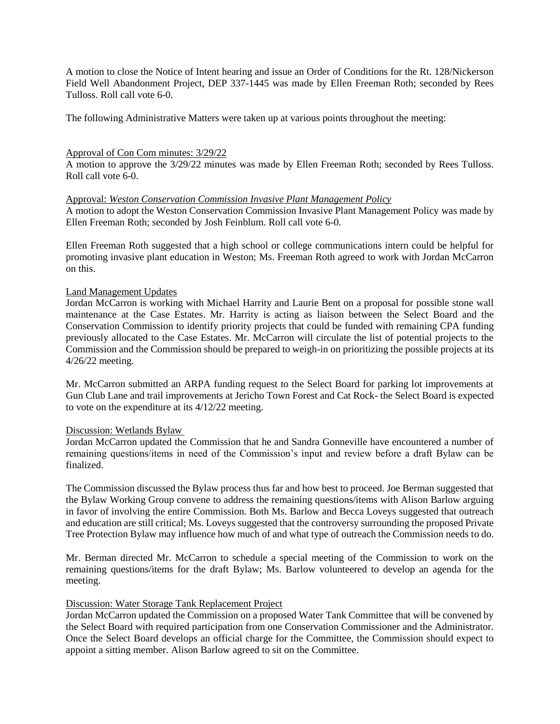A motion to close the Notice of Intent hearing and issue an Order of Conditions for the Rt. 128/Nickerson Field Well Abandonment Project, DEP 337-1445 was made by Ellen Freeman Roth; seconded by Rees Tulloss. Roll call vote 6-0.

The following Administrative Matters were taken up at various points throughout the meeting:

#### Approval of Con Com minutes: 3/29/22

A motion to approve the 3/29/22 minutes was made by Ellen Freeman Roth; seconded by Rees Tulloss. Roll call vote 6-0.

## Approval: *Weston Conservation Commission Invasive Plant Management Policy*

A motion to adopt the Weston Conservation Commission Invasive Plant Management Policy was made by Ellen Freeman Roth; seconded by Josh Feinblum. Roll call vote 6-0.

Ellen Freeman Roth suggested that a high school or college communications intern could be helpful for promoting invasive plant education in Weston; Ms. Freeman Roth agreed to work with Jordan McCarron on this.

## Land Management Updates

Jordan McCarron is working with Michael Harrity and Laurie Bent on a proposal for possible stone wall maintenance at the Case Estates. Mr. Harrity is acting as liaison between the Select Board and the Conservation Commission to identify priority projects that could be funded with remaining CPA funding previously allocated to the Case Estates. Mr. McCarron will circulate the list of potential projects to the Commission and the Commission should be prepared to weigh-in on prioritizing the possible projects at its 4/26/22 meeting.

Mr. McCarron submitted an ARPA funding request to the Select Board for parking lot improvements at Gun Club Lane and trail improvements at Jericho Town Forest and Cat Rock- the Select Board is expected to vote on the expenditure at its 4/12/22 meeting.

#### Discussion: Wetlands Bylaw

Jordan McCarron updated the Commission that he and Sandra Gonneville have encountered a number of remaining questions/items in need of the Commission's input and review before a draft Bylaw can be finalized.

The Commission discussed the Bylaw process thus far and how best to proceed. Joe Berman suggested that the Bylaw Working Group convene to address the remaining questions/items with Alison Barlow arguing in favor of involving the entire Commission. Both Ms. Barlow and Becca Loveys suggested that outreach and education are still critical; Ms. Loveys suggested that the controversy surrounding the proposed Private Tree Protection Bylaw may influence how much of and what type of outreach the Commission needs to do.

Mr. Berman directed Mr. McCarron to schedule a special meeting of the Commission to work on the remaining questions/items for the draft Bylaw; Ms. Barlow volunteered to develop an agenda for the meeting.

#### Discussion: Water Storage Tank Replacement Project

Jordan McCarron updated the Commission on a proposed Water Tank Committee that will be convened by the Select Board with required participation from one Conservation Commissioner and the Administrator. Once the Select Board develops an official charge for the Committee, the Commission should expect to appoint a sitting member. Alison Barlow agreed to sit on the Committee.